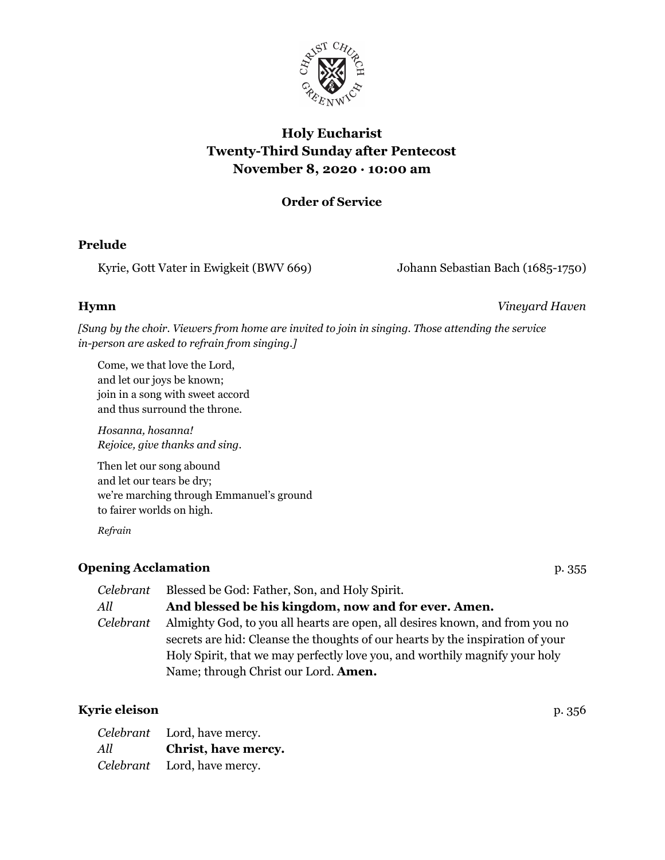

# **Holy Eucharist Twenty-Third Sunday after Pentecost November 8, 2020 · 10:00 am**

**Order of Service**

# **Prelude**

Kyrie, Gott Vater in Ewigkeit (BWV 669) Johann Sebastian Bach (1685-1750)

**Hymn** *Vineyard Haven*

*[Sung by the choir. Viewers from home are invited to join in singing. Those attending the service in-person are asked to refrain from singing.]*

Come, we that love the Lord, and let our joys be known; join in a song with sweet accord and thus surround the throne.

*Hosanna, hosanna! Rejoice, give thanks and sing.*

Then let our song abound and let our tears be dry; we're marching through Emmanuel's ground to fairer worlds on high.

*Refrain*

# **Opening Acclamation** p. 355

*Celebrant* Blessed be God: Father, Son, and Holy Spirit. *All* **And blessed be his kingdom, now and for ever. Amen.** *Celebrant* Almighty God, to you all hearts are open, all desires known, and from you no secrets are hid: Cleanse the thoughts of our hearts by the inspiration of your Holy Spirit, that we may perfectly love you, and worthily magnify your holy Name; through Christ our Lord. **Amen.**

# **Kyrie eleison** p. 356

|     | Celebrant Lord, have mercy. |
|-----|-----------------------------|
| All | Christ, have mercy.         |
|     | Celebrant Lord, have mercy. |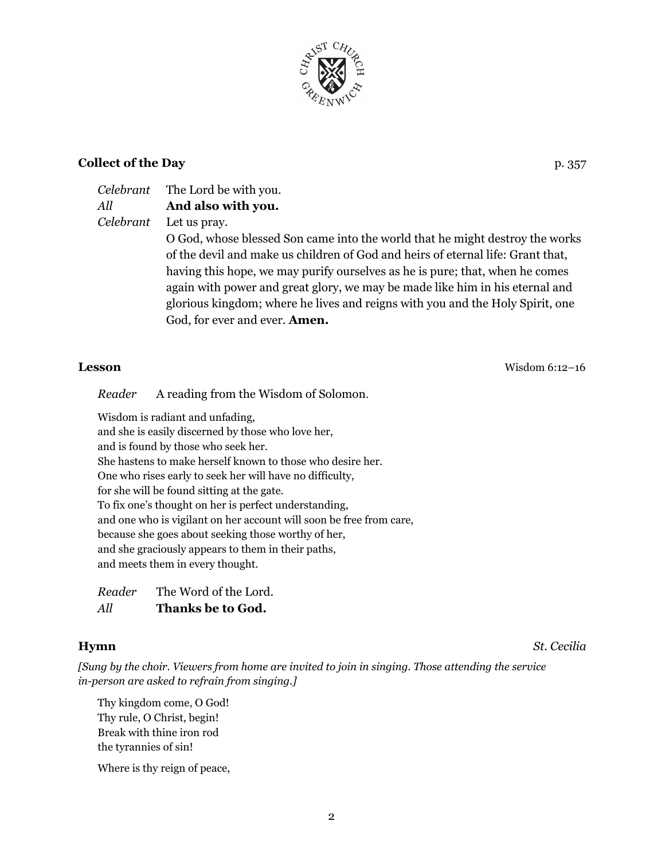## **Collect of the Day** p. 357

*Celebrant* The Lord be with you. *All* **And also with you.** *Celebrant* Let us pray. O God, whose blessed Son came into the world that he might destroy the works of the devil and make us children of God and heirs of eternal life: Grant that, having this hope, we may purify ourselves as he is pure; that, when he comes again with power and great glory, we may be made like him in his eternal and glorious kingdom; where he lives and reigns with you and the Holy Spirit, one God, for ever and ever. **Amen.**

*Reader* A reading from the Wisdom of Solomon.

Wisdom is radiant and unfading, and she is easily discerned by those who love her, and is found by those who seek her. She hastens to make herself known to those who desire her. One who rises early to seek her will have no difficulty, for she will be found sitting at the gate. To fix one's thought on her is perfect understanding, and one who is vigilant on her account will soon be free from care, because she goes about seeking those worthy of her, and she graciously appears to them in their paths,

*Reader* The Word of the Lord. *All* **Thanks be to God.**

and meets them in every thought.

*[Sung by the choir. Viewers from home are invited to join in singing. Those attending the service in-person are asked to refrain from singing.]*

Thy kingdom come, O God! Thy rule, O Christ, begin! Break with thine iron rod the tyrannies of sin!

Where is thy reign of peace,

**Lesson** Wisdom 6:12–16

**Hymn** *St. Cecilia*

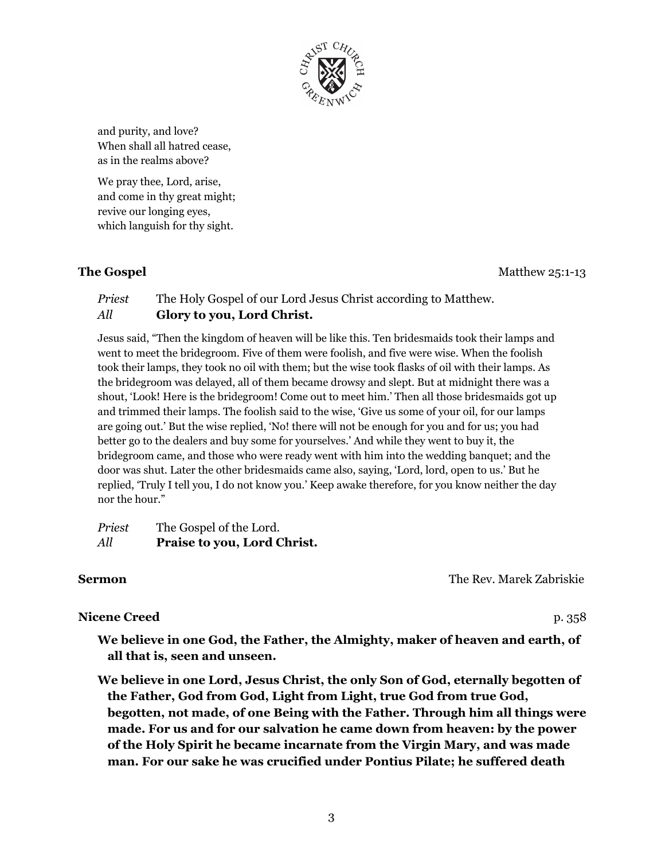

and purity, and love? When shall all hatred cease, as in the realms above?

We pray thee, Lord, arise, and come in thy great might; revive our longing eyes, which languish for thy sight.

**The Gospel** Matthew 25:1-13

# *Priest* The Holy Gospel of our Lord Jesus Christ according to Matthew. *All* **Glory to you, Lord Christ.**

Jesus said, "Then the kingdom of heaven will be like this. Ten bridesmaids took their lamps and went to meet the bridegroom. Five of them were foolish, and five were wise. When the foolish took their lamps, they took no oil with them; but the wise took flasks of oil with their lamps. As the bridegroom was delayed, all of them became drowsy and slept. But at midnight there was a shout, 'Look! Here is the bridegroom! Come out to meet him.' Then all those bridesmaids got up and trimmed their lamps. The foolish said to the wise, 'Give us some of your oil, for our lamps are going out.' But the wise replied, 'No! there will not be enough for you and for us; you had better go to the dealers and buy some for yourselves.' And while they went to buy it, the bridegroom came, and those who were ready went with him into the wedding banquet; and the door was shut. Later the other bridesmaids came also, saying, 'Lord, lord, open to us.' But he replied, 'Truly I tell you, I do not know you.' Keep awake therefore, for you know neither the day nor the hour."

*Priest* The Gospel of the Lord. *All* **Praise to you, Lord Christ.**

**Sermon** The Rev. Marek Zabriskie

## **Nicene Creed** p. 358

**We believe in one God, the Father, the Almighty, maker of heaven and earth, of all that is, seen and unseen.**

**We believe in one Lord, Jesus Christ, the only Son of God, eternally begotten of the Father, God from God, Light from Light, true God from true God, begotten, not made, of one Being with the Father. Through him all things were made. For us and for our salvation he came down from heaven: by the power of the Holy Spirit he became incarnate from the Virgin Mary, and was made man. For our sake he was crucified under Pontius Pilate; he suffered death**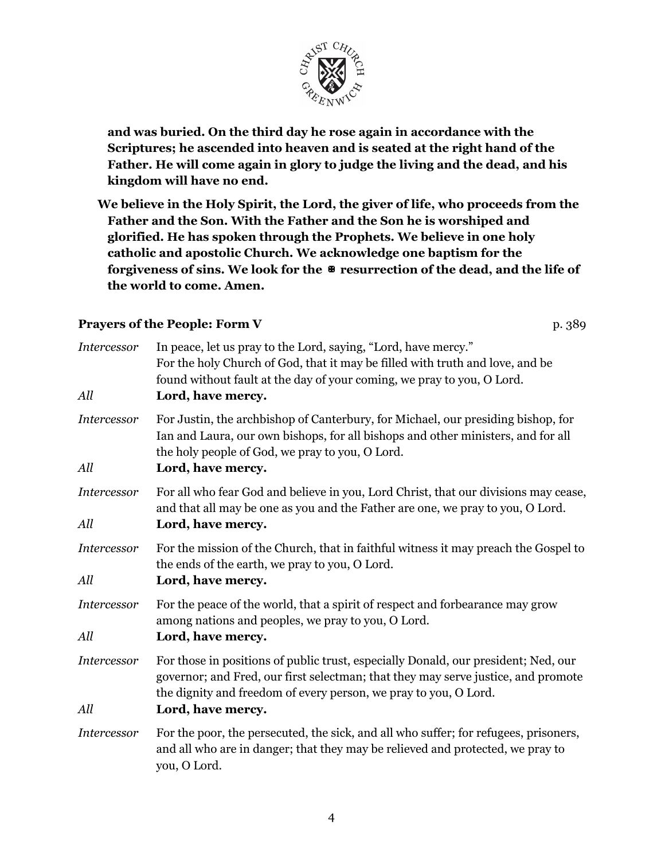

4

**and was buried. On the third day he rose again in accordance with the Scriptures; he ascended into heaven and is seated at the right hand of the Father. He will come again in glory to judge the living and the dead, and his kingdom will have no end.**

**We believe in the Holy Spirit, the Lord, the giver of life, who proceeds from the Father and the Son. With the Father and the Son he is worshiped and glorified. He has spoken through the Prophets. We believe in one holy catholic and apostolic Church. We acknowledge one baptism for the forgiveness of sins. We look for the** ✠ **resurrection of the dead, and the life of the world to come. Amen.**

## **Prayers of the People: Form V** p. 389

| <i>Intercessor</i>        | In peace, let us pray to the Lord, saying, "Lord, have mercy."<br>For the holy Church of God, that it may be filled with truth and love, and be<br>found without fault at the day of your coming, we pray to you, O Lord.                                        |  |
|---------------------------|------------------------------------------------------------------------------------------------------------------------------------------------------------------------------------------------------------------------------------------------------------------|--|
| All                       | Lord, have mercy.                                                                                                                                                                                                                                                |  |
| Intercessor<br>All        | For Justin, the archbishop of Canterbury, for Michael, our presiding bishop, for<br>Ian and Laura, our own bishops, for all bishops and other ministers, and for all<br>the holy people of God, we pray to you, O Lord.<br>Lord, have mercy.                     |  |
| Intercessor<br>All        | For all who fear God and believe in you, Lord Christ, that our divisions may cease,<br>and that all may be one as you and the Father are one, we pray to you, O Lord.<br>Lord, have mercy.                                                                       |  |
| <i>Intercessor</i><br>All | For the mission of the Church, that in faithful witness it may preach the Gospel to<br>the ends of the earth, we pray to you, O Lord.<br>Lord, have mercy.                                                                                                       |  |
| Intercessor<br>All        | For the peace of the world, that a spirit of respect and forbearance may grow<br>among nations and peoples, we pray to you, O Lord.<br>Lord, have mercy.                                                                                                         |  |
| <b>Intercessor</b><br>All | For those in positions of public trust, especially Donald, our president; Ned, our<br>governor; and Fred, our first selectman; that they may serve justice, and promote<br>the dignity and freedom of every person, we pray to you, O Lord.<br>Lord, have mercy. |  |
| Intercessor               | For the poor, the persecuted, the sick, and all who suffer; for refugees, prisoners,<br>and all who are in danger; that they may be relieved and protected, we pray to<br>you, O Lord.                                                                           |  |

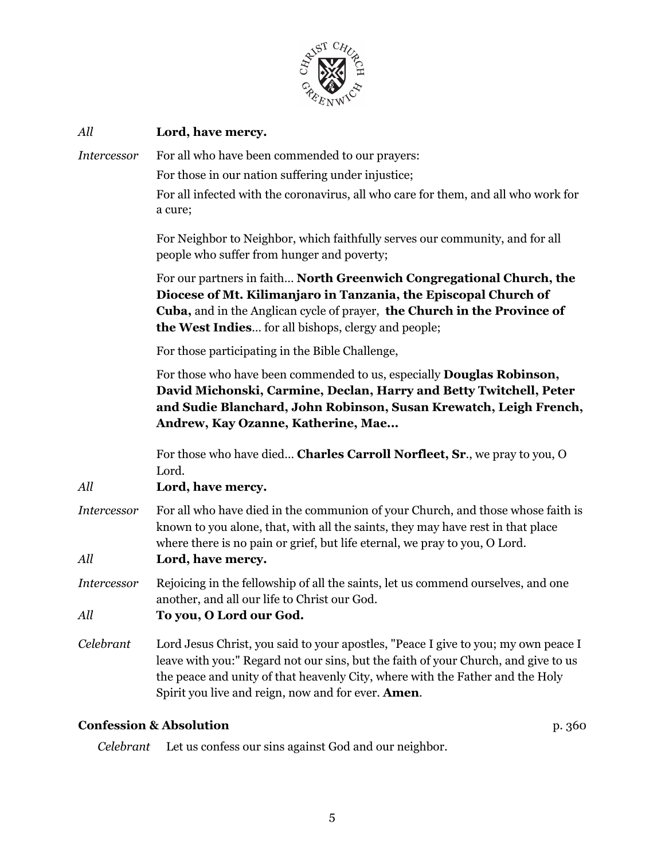

| All                | Lord, have mercy.                                                                                                                                                                                                                                                                                               |  |
|--------------------|-----------------------------------------------------------------------------------------------------------------------------------------------------------------------------------------------------------------------------------------------------------------------------------------------------------------|--|
| <i>Intercessor</i> | For all who have been commended to our prayers:<br>For those in our nation suffering under injustice;<br>For all infected with the coronavirus, all who care for them, and all who work for<br>a cure;                                                                                                          |  |
|                    | For Neighbor to Neighbor, which faithfully serves our community, and for all<br>people who suffer from hunger and poverty;                                                                                                                                                                                      |  |
|                    | For our partners in faith North Greenwich Congregational Church, the<br>Diocese of Mt. Kilimanjaro in Tanzania, the Episcopal Church of<br>Cuba, and in the Anglican cycle of prayer, the Church in the Province of<br>the West Indies for all bishops, clergy and people;                                      |  |
|                    | For those participating in the Bible Challenge,                                                                                                                                                                                                                                                                 |  |
|                    | For those who have been commended to us, especially <b>Douglas Robinson</b> ,<br>David Michonski, Carmine, Declan, Harry and Betty Twitchell, Peter<br>and Sudie Blanchard, John Robinson, Susan Krewatch, Leigh French,<br>Andrew, Kay Ozanne, Katherine, Mae                                                  |  |
| All                | For those who have died Charles Carroll Norfleet, Sr., we pray to you, O<br>Lord.<br>Lord, have mercy.                                                                                                                                                                                                          |  |
| Intercessor<br>All | For all who have died in the communion of your Church, and those whose faith is<br>known to you alone, that, with all the saints, they may have rest in that place<br>where there is no pain or grief, but life eternal, we pray to you, O Lord.<br>Lord, have mercy.                                           |  |
| Intercessor<br>All | Rejoicing in the fellowship of all the saints, let us commend ourselves, and one<br>another, and all our life to Christ our God.<br>To you, O Lord our God.                                                                                                                                                     |  |
| Celebrant          | Lord Jesus Christ, you said to your apostles, "Peace I give to you; my own peace I<br>leave with you:" Regard not our sins, but the faith of your Church, and give to us<br>the peace and unity of that heavenly City, where with the Father and the Holy<br>Spirit you live and reign, now and for ever. Amen. |  |

# **Confession & Absolution** p. 360

*Celebrant* Let us confess our sins against God and our neighbor.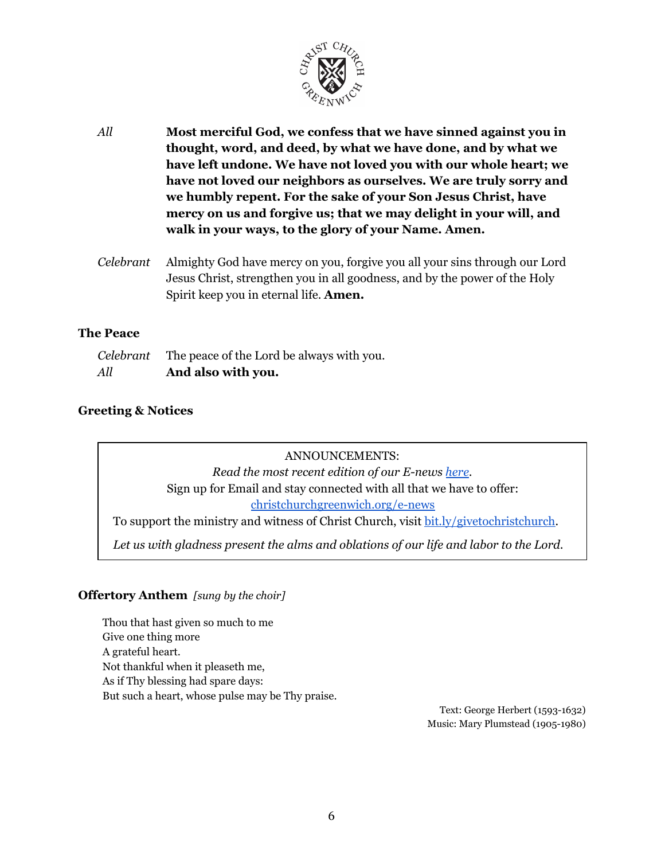

- *All* **Most merciful God, we confess that we have sinned against you in thought, word, and deed, by what we have done, and by what we have left undone. We have not loved you with our whole heart; we have not loved our neighbors as ourselves. We are truly sorry and we humbly repent. For the sake of your Son Jesus Christ, have mercy on us and forgive us; that we may delight in your will, and walk in your ways, to the glory of your Name. Amen.**
- *Celebrant* Almighty God have mercy on you, forgive you all your sins through our Lord Jesus Christ, strengthen you in all goodness, and by the power of the Holy Spirit keep you in eternal life. **Amen.**

## **The Peace**

|     | Celebrant The peace of the Lord be always with you. |
|-----|-----------------------------------------------------|
| All | And also with you.                                  |

## **Greeting & Notices**

# ANNOUNCEMENTS: *Read the most recent edition of our E-news [here.](http://createsend.com/t/r-2E0C00AE61582ECE2540EF23F30FEDED)* Sign up for Email and stay connected with all that we have to offer: [christchurchgreenwich.org/e-news](https://christchurchgreenwich.org/e-news/) To support the ministry and witness of Christ Church, visit [bit.ly/givetochristchurch.](http://bit.ly/givetochristchurch)

*Let us with gladness present the alms and oblations of our life and labor to the Lord.*

## **Offertory Anthem** *[sung by the choir]*

Thou that hast given so much to me Give one thing more A grateful heart. Not thankful when it pleaseth me, As if Thy blessing had spare days: But such a heart, whose pulse may be Thy praise.

> Text: George Herbert (1593-1632) Music: Mary Plumstead (1905-1980)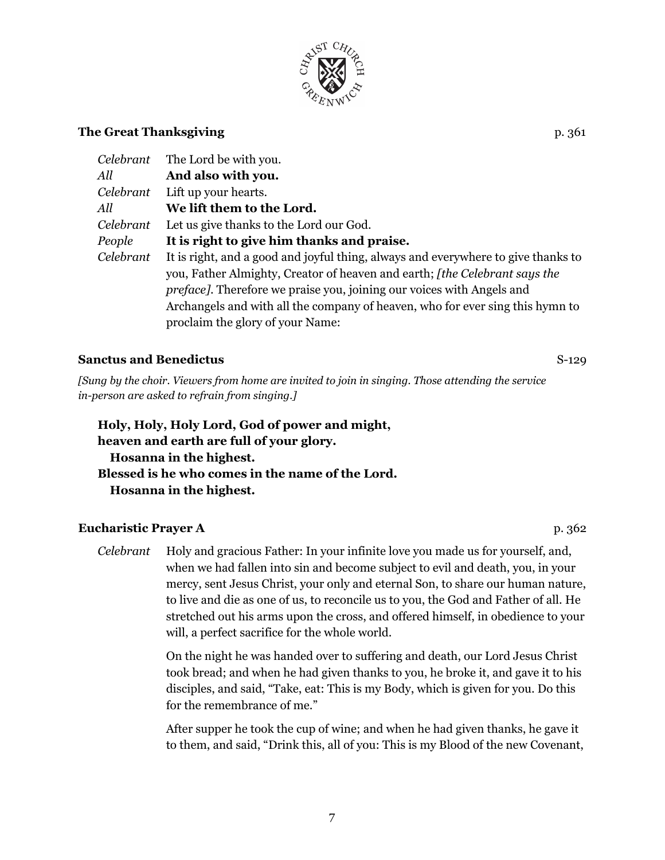# **The Great Thanksgiving** p. 361

| Celebrant | The Lord be with you.                                                                                                                                                                                                                                                                                                            |  |
|-----------|----------------------------------------------------------------------------------------------------------------------------------------------------------------------------------------------------------------------------------------------------------------------------------------------------------------------------------|--|
| All       | And also with you.                                                                                                                                                                                                                                                                                                               |  |
| Celebrant | Lift up your hearts.                                                                                                                                                                                                                                                                                                             |  |
| All       | We lift them to the Lord.                                                                                                                                                                                                                                                                                                        |  |
| Celebrant | Let us give thanks to the Lord our God.                                                                                                                                                                                                                                                                                          |  |
| People    | It is right to give him thanks and praise.                                                                                                                                                                                                                                                                                       |  |
| Celebrant | It is right, and a good and joyful thing, always and everywhere to give thanks to<br>you, Father Almighty, Creator of heaven and earth; <i>[the Celebrant says the</i><br>preface]. Therefore we praise you, joining our voices with Angels and<br>Archangels and with all the company of heaven, who for ever sing this hymn to |  |
|           | proclaim the glory of your Name:                                                                                                                                                                                                                                                                                                 |  |

### **Sanctus and Benedictus** S-129

*[Sung by the choir. Viewers from home are invited to join in singing. Those attending the service in-person are asked to refrain from singing.]*

**Holy, Holy, Holy Lord, God of power and might, heaven and earth are full of your glory. Hosanna in the highest. Blessed is he who comes in the name of the Lord. Hosanna in the highest.**

## **Eucharistic Prayer A** p. 362

*Celebrant* Holy and gracious Father: In your infinite love you made us for yourself, and, when we had fallen into sin and become subject to evil and death, you, in your mercy, sent Jesus Christ, your only and eternal Son, to share our human nature, to live and die as one of us, to reconcile us to you, the God and Father of all. He stretched out his arms upon the cross, and offered himself, in obedience to your will, a perfect sacrifice for the whole world.

> On the night he was handed over to suffering and death, our Lord Jesus Christ took bread; and when he had given thanks to you, he broke it, and gave it to his disciples, and said, "Take, eat: This is my Body, which is given for you. Do this for the remembrance of me."

> After supper he took the cup of wine; and when he had given thanks, he gave it to them, and said, "Drink this, all of you: This is my Blood of the new Covenant,

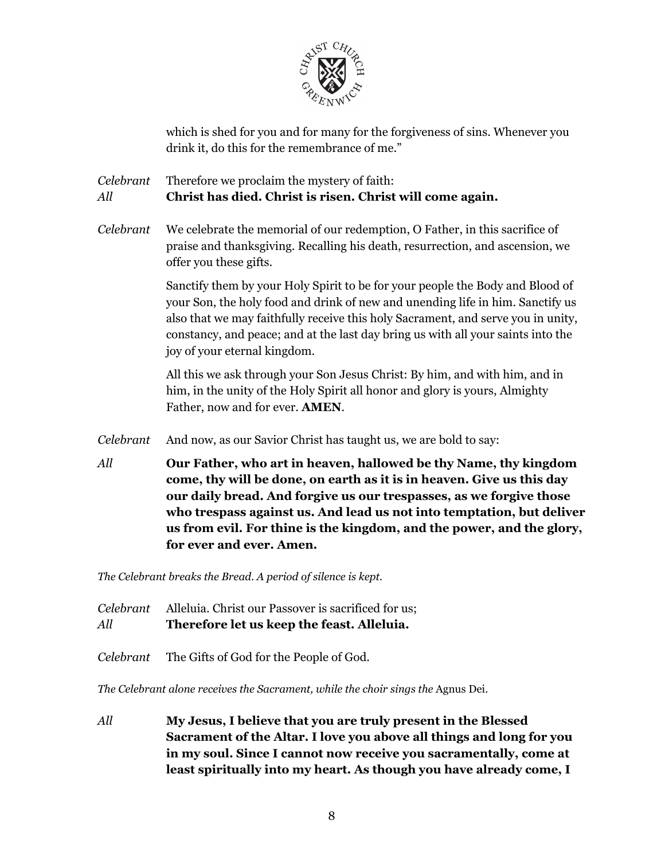

which is shed for you and for many for the forgiveness of sins. Whenever you drink it, do this for the remembrance of me."

*Celebrant* Therefore we proclaim the mystery of faith: *All* **Christ has died. Christ is risen. Christ will come again.**

*Celebrant* We celebrate the memorial of our redemption, O Father, in this sacrifice of praise and thanksgiving. Recalling his death, resurrection, and ascension, we offer you these gifts.

> Sanctify them by your Holy Spirit to be for your people the Body and Blood of your Son, the holy food and drink of new and unending life in him. Sanctify us also that we may faithfully receive this holy Sacrament, and serve you in unity, constancy, and peace; and at the last day bring us with all your saints into the joy of your eternal kingdom.

All this we ask through your Son Jesus Christ: By him, and with him, and in him, in the unity of the Holy Spirit all honor and glory is yours, Almighty Father, now and for ever. **AMEN**.

- *Celebrant* And now, as our Savior Christ has taught us, we are bold to say:
- *All* **Our Father, who art in heaven, hallowed be thy Name, thy kingdom come, thy will be done, on earth as it is in heaven. Give us this day our daily bread. And forgive us our trespasses, as we forgive those who trespass against us. And lead us not into temptation, but deliver us from evil. For thine is the kingdom, and the power, and the glory, for ever and ever. Amen.**

*The Celebrant breaks the Bread. A period of silence is kept.*

- *Celebrant* Alleluia. Christ our Passover is sacrificed for us; *All* **Therefore let us keep the feast. Alleluia.**
- *Celebrant* The Gifts of God for the People of God.

*The Celebrant alone receives the Sacrament, while the choir sings the* Agnus Dei.

*All* **My Jesus, I believe that you are truly present in the Blessed Sacrament of the Altar. I love you above all things and long for you in my soul. Since I cannot now receive you sacramentally, come at least spiritually into my heart. As though you have already come, I**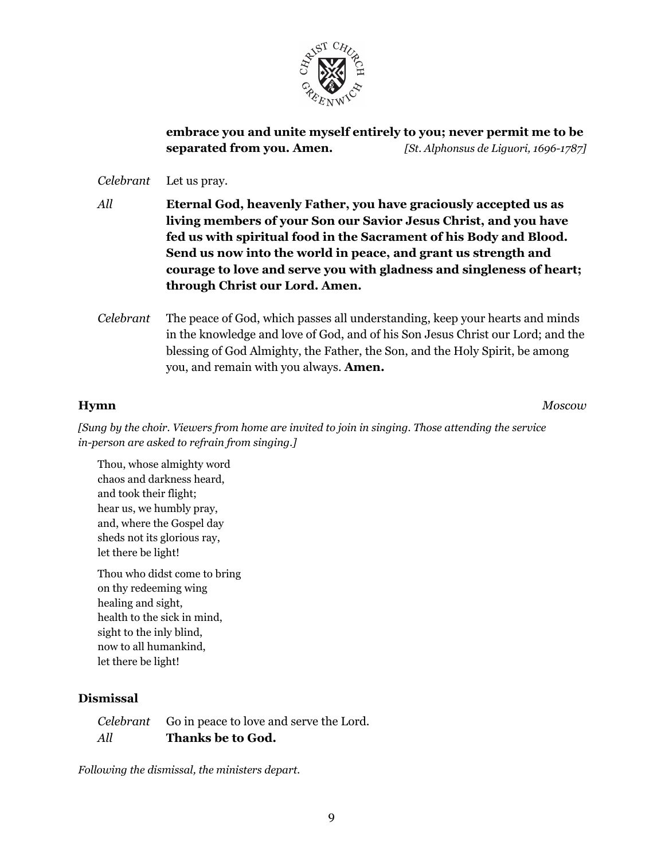

**embrace you and unite myself entirely to you; never permit me to be separated from you. Amen.** *[St. Alphonsus de Liguori, 1696-1787]*

*Celebrant* Let us pray.

*All* **Eternal God, heavenly Father, you have graciously accepted us as living members of your Son our Savior Jesus Christ, and you have fed us with spiritual food in the Sacrament of his Body and Blood. Send us now into the world in peace, and grant us strength and courage to love and serve you with gladness and singleness of heart; through Christ our Lord. Amen.**

*Celebrant* The peace of God, which passes all understanding, keep your hearts and minds in the knowledge and love of God, and of his Son Jesus Christ our Lord; and the blessing of God Almighty, the Father, the Son, and the Holy Spirit, be among you, and remain with you always. **Amen.**

**Hymn** *Moscow*

*[Sung by the choir. Viewers from home are invited to join in singing. Those attending the service in-person are asked to refrain from singing.]*

Thou, whose almighty word chaos and darkness heard, and took their flight; hear us, we humbly pray, and, where the Gospel day sheds not its glorious ray, let there be light!

Thou who didst come to bring on thy redeeming wing healing and sight, health to the sick in mind, sight to the inly blind, now to all humankind, let there be light!

# **Dismissal**

|     | Celebrant Go in peace to love and serve the Lord. |
|-----|---------------------------------------------------|
| All | Thanks be to God.                                 |

*Following the dismissal, the ministers depart.*